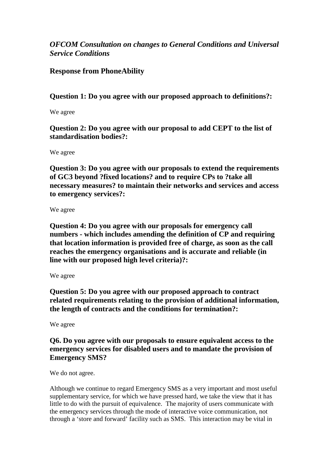# *OFCOM Consultation on changes to General Conditions and Universal Service Conditions*

## **Response from PhoneAbility**

**Question 1: Do you agree with our proposed approach to definitions?:**

We agree

**Question 2: Do you agree with our proposal to add CEPT to the list of standardisation bodies?:**

We agree

**Question 3: Do you agree with our proposals to extend the requirements of GC3 beyond ?fixed locations? and to require CPs to ?take all necessary measures? to maintain their networks and services and access to emergency services?:**

We agree

**Question 4: Do you agree with our proposals for emergency call numbers - which includes amending the definition of CP and requiring that location information is provided free of charge, as soon as the call reaches the emergency organisations and is accurate and reliable (in line with our proposed high level criteria)?:**

We agree

**Question 5: Do you agree with our proposed approach to contract related requirements relating to the provision of additional information, the length of contracts and the conditions for termination?:**

We agree

## **Q6. Do you agree with our proposals to ensure equivalent access to the emergency services for disabled users and to mandate the provision of Emergency SMS?**

We do not agree.

Although we continue to regard Emergency SMS as a very important and most useful supplementary service, for which we have pressed hard, we take the view that it has little to do with the pursuit of equivalence. The majority of users communicate with the emergency services through the mode of interactive voice communication, not through a 'store and forward' facility such as SMS. This interaction may be vital in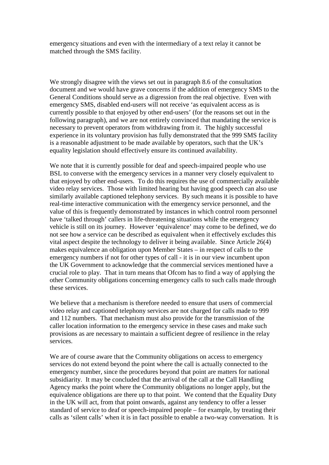emergency situations and even with the intermediary of a text relay it cannot be matched through the SMS facility.

We strongly disagree with the views set out in paragraph 8.6 of the consultation document and we would have grave concerns if the addition of emergency SMS to the General Conditions should serve as a digression from the real objective. Even with emergency SMS, disabled end-users will not receive 'as equivalent access as is currently possible to that enjoyed by other end-users' (for the reasons set out in the following paragraph), and we are not entirely convinced that mandating the service is necessary to prevent operators from withdrawing from it. The highly successful experience in its voluntary provision has fully demonstrated that the 999 SMS facility is a reasonable adjustment to be made available by operators, such that the UK's equality legislation should effectively ensure its continued availability.

We note that it is currently possible for deaf and speech-impaired people who use BSL to converse with the emergency services in a manner very closely equivalent to that enjoyed by other end-users. To do this requires the use of commercially available video relay services. Those with limited hearing but having good speech can also use similarly available captioned telephony services. By such means it is possible to have real-time interactive communication with the emergency service personnel, and the value of this is frequently demonstrated by instances in which control room personnel have 'talked through' callers in life-threatening situations while the emergency vehicle is still on its journey. However 'equivalence' may come to be defined, we do not see how a service can be described as equivalent when it effectively excludes this vital aspect despite the technology to deliver it being available. Since Article 26(4) makes equivalence an obligation upon Member States – in respect of calls to the emergency numbers if not for other types of call - it is in our view incumbent upon the UK Government to acknowledge that the commercial services mentioned have a crucial role to play. That in turn means that Ofcom has to find a way of applying the other Community obligations concerning emergency calls to such calls made through these services.

We believe that a mechanism is therefore needed to ensure that users of commercial video relay and captioned telephony services are not charged for calls made to 999 and 112 numbers. That mechanism must also provide for the transmission of the caller location information to the emergency service in these cases and make such provisions as are necessary to maintain a sufficient degree of resilience in the relay services.

We are of course aware that the Community obligations on access to emergency services do not extend beyond the point where the call is actually connected to the emergency number, since the procedures beyond that point are matters for national subsidiarity. It may be concluded that the arrival of the call at the Call Handling Agency marks the point where the Community obligations no longer apply, but the equivalence obligations are there up to that point. We contend that the Equality Duty in the UK will act, from that point onwards, against any tendency to offer a lesser standard of service to deaf or speech-impaired people – for example, by treating their calls as 'silent calls' when it is in fact possible to enable a two-way conversation. It is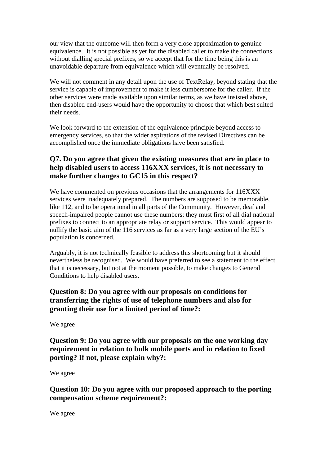our view that the outcome will then form a very close approximation to genuine equivalence. It is not possible as yet for the disabled caller to make the connections without dialling special prefixes, so we accept that for the time being this is an unavoidable departure from equivalence which will eventually be resolved.

We will not comment in any detail upon the use of TextRelay, beyond stating that the service is capable of improvement to make it less cumbersome for the caller. If the other services were made available upon similar terms, as we have insisted above, then disabled end-users would have the opportunity to choose that which best suited their needs.

We look forward to the extension of the equivalence principle beyond access to emergency services, so that the wider aspirations of the revised Directives can be accomplished once the immediate obligations have been satisfied.

## **Q7. Do you agree that given the existing measures that are in place to help disabled users to access 116XXX services, it is not necessary to make further changes to GC15 in this respect?**

We have commented on previous occasions that the arrangements for 116XXX services were inadequately prepared. The numbers are supposed to be memorable, like 112, and to be operational in all parts of the Community. However, deaf and speech-impaired people cannot use these numbers; they must first of all dial national prefixes to connect to an appropriate relay or support service. This would appear to nullify the basic aim of the 116 services as far as a very large section of the EU's population is concerned.

Arguably, it is not technically feasible to address this shortcoming but it should nevertheless be recognised. We would have preferred to see a statement to the effect that it is necessary, but not at the moment possible, to make changes to General Conditions to help disabled users.

# **Question 8: Do you agree with our proposals on conditions for transferring the rights of use of telephone numbers and also for granting their use for a limited period of time?:**

We agree

**Question 9: Do you agree with our proposals on the one working day requirement in relation to bulk mobile ports and in relation to fixed porting? If not, please explain why?:**

We agree

**Question 10: Do you agree with our proposed approach to the porting compensation scheme requirement?:**

We agree